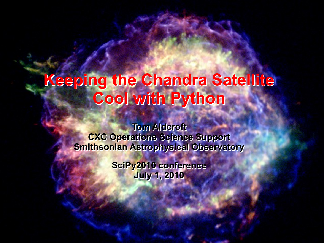# **Keeping the Chandra Satellite Keeping the Chandra Satellite Cool with Python Cool with Python**

**Tom Aldcroft Tom Aldcroft CXC Operations Science Support CXC Operations Science Support Smithsonian Astrophysical Observatory Smithsonian Astrophysical Observatory**

> **SciPy2010 conference SciPy2010 conference July 1, 2010 July 1, 2010**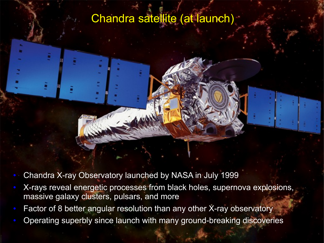# Chandra satellite (at launch)

- Chandra X-ray Observatory launched by NASA in July 1999
- X-rays reveal energetic processes from black holes, supernova explosions, massive galaxy clusters, pulsars, and more
- Factor of 8 better angular resolution than any other X-ray observatory
- Operating superbly since launch with many ground-breaking discoveries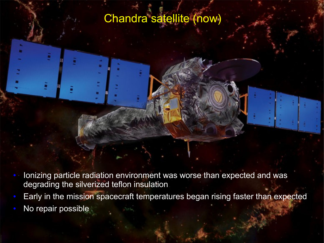# Chandra satellite (now)

- Ionizing particle radiation environment was worse than expected and was degrading the silverized teflon insulation
- Early in the mission spacecraft temperatures began rising faster than expected
- No repair possible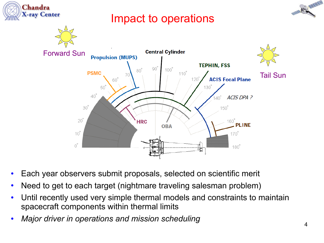

- Each year observers submit proposals, selected on scientific merit
- Need to get to each target (nightmare traveling salesman problem)
- Until recently used very simple thermal models and constraints to maintain spacecraft components within thermal limits
- *Major driver in operations and mission scheduling*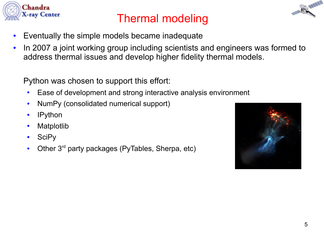

# Thermal modeling

- Eventually the simple models became inadequate
- In 2007 a joint working group including scientists and engineers was formed to address thermal issues and develop higher fidelity thermal models.

Python was chosen to support this effort:

- Ease of development and strong interactive analysis environment
- NumPy (consolidated numerical support)
- IPython
- Matplotlib
- SciPy
- Other  $3^{rd}$  party packages (PyTables, Sherpa, etc)

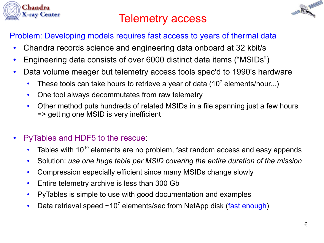

# Telemetry access



#### Problem: Developing models requires fast access to years of thermal data

- Chandra records science and engineering data onboard at 32 kbit/s
- Engineering data consists of over 6000 distinct data items ("MSIDs")
- Data volume meager but telemetry access tools spec'd to 1990's hardware
	- These tools can take hours to retrieve a year of data  $(10<sup>7</sup>$  elements/hour...)
	- One tool always decommutates from raw telemetry
	- Other method puts hundreds of related MSIDs in a file spanning just a few hours => getting one MSID is very inefficient
- PyTables and HDF5 to the rescue:
	- Tables with  $10^{10}$  elements are no problem, fast random access and easy appends
	- Solution: *use one huge table per MSID covering the entire duration of the mission*
	- Compression especially efficient since many MSIDs change slowly
	- Entire telemetry archive is less than 300 Gb
	- PyTables is simple to use with good documentation and examples
	- Data retrieval speed  $\sim 10^7$  elements/sec from NetApp disk (fast enough)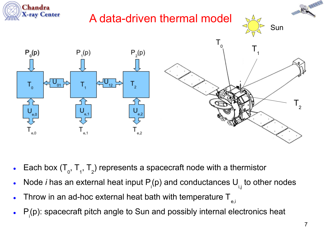

- Each box  $(\mathsf{T}_{0},\mathsf{T}_{1},\mathsf{T}_{2})$  represents a spacecraft node with a thermistor
- Node *i* has an external heat input  $P_i(p)$  and conductances  $U_{i,j}$  to other nodes
- Throw in an ad-hoc external heat bath with temperature  $T_{\text{eff}}$
- $\bullet$   $P_i(p)$ : spacecraft pitch angle to Sun and possibly internal electronics heat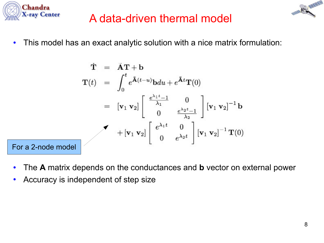



#### A data-driven thermal model

• This model has an exact analytic solution with a nice matrix formulation:

$$
\dot{\mathbf{T}} = \dot{\mathbf{A}} \mathbf{T} + \mathbf{b}
$$
\n
$$
\mathbf{T}(t) = \int_0^t e^{\tilde{\mathbf{A}}(t-u)} \mathbf{b} du + e^{\tilde{\mathbf{A}}t} \mathbf{T}(0)
$$
\n
$$
= [\mathbf{v}_1 \mathbf{v}_2] \begin{bmatrix} \frac{e^{\lambda_1 t} - 1}{\lambda_1} & 0 \\ 0 & \frac{e^{\lambda_2 t} - 1}{\lambda_2} \end{bmatrix} [\mathbf{v}_1 \mathbf{v}_2]^{-1} \mathbf{b}
$$
\n
$$
+ [\mathbf{v}_1 \mathbf{v}_2] \begin{bmatrix} e^{\lambda_1 t} & 0 \\ 0 & e^{\lambda_2 t} \end{bmatrix} [\mathbf{v}_1 \mathbf{v}_2]^{-1} \mathbf{T}(0)
$$
\nFor a 2-node model

- The **A** matrix depends on the conductances and **b** vector on external power
- Accuracy is independent of step size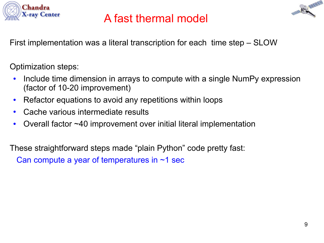

### A fast thermal model

First implementation was a literal transcription for each time step – SLOW

Optimization steps:

- Include time dimension in arrays to compute with a single NumPy expression (factor of 10-20 improvement)
- Refactor equations to avoid any repetitions within loops
- Cache various intermediate results
- Overall factor  $~10$  improvement over initial literal implementation

These straightforward steps made "plain Python" code pretty fast:

Can compute a year of temperatures in ~1 sec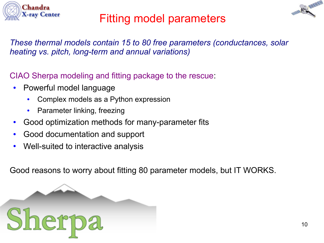



# Fitting model parameters

*These thermal models contain 15 to 80 free parameters (conductances, solar heating vs. pitch, long-term and annual variations)*

CIAO Sherpa modeling and fitting package to the rescue:

- Powerful model language
	- Complex models as a Python expression
	- Parameter linking, freezing
- Good optimization methods for many-parameter fits
- Good documentation and support
- Well-suited to interactive analysis

Good reasons to worry about fitting 80 parameter models, but IT WORKS.

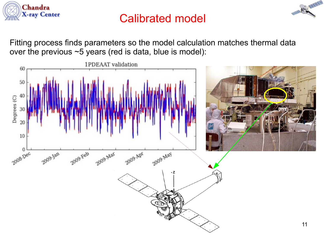

### Calibrated model

Fitting process finds parameters so the model calculation matches thermal data over the previous ~5 years (red is data, blue is model):

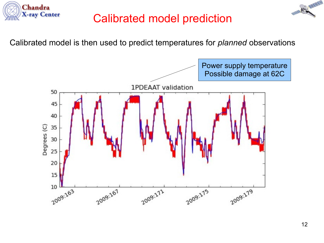



#### Calibrated model prediction

Calibrated model is then used to predict temperatures for *planned* observations

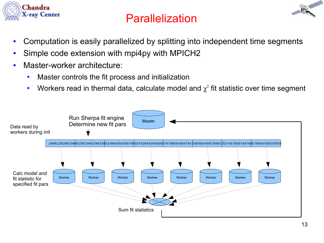

# Parallelization



- Computation is easily parallelized by splitting into independent time segments
- Simple code extension with mpi4py with MPICH2
- Master-worker architecture:
	- Master controls the fit process and initialization
	- Workers read in thermal data, calculate model and  $\chi^2$  fit statistic over time segment

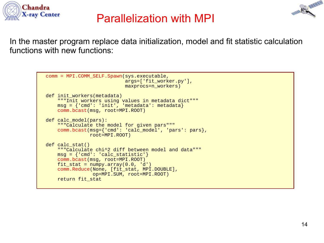

#### Parallelization with MPI



```
 comm = MPI.COMM_SELF.Spawn(sys.executable,
                            args=['fit worker.py'],
                            maxprocs=n_workers)
def init workers(metadata)
     """Init workers using values in metadata dict"""
    msg = \{ 'cmd': 'init', 'metadata': metadata \} comm.bcast(msg, root=MPI.ROOT)
 def calc_model(pars):
     """Calculate the model for given pars"""
     comm.bcast(msg={'cmd': 'calc_model', 'pars': pars}, 
                root=MPI.ROOT)
 def calc_stat()
     """Calculate chi^2 diff between model and data"""
    msg = { 'cmd': 'calc_static': } comm.bcast(msg, root=MPI.ROOT)
    fit\_stat = numpy.array(0.0, 'd') comm.Reduce(None, [fit_stat, MPI.DOUBLE], 
                 op=MPI.SUM, root=MPI.ROOT)
     return fit_stat
```
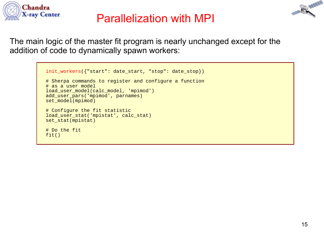

#### Parallelization with MPI



The main logic of the master fit program is nearly unchanged except for the addition of code to dynamically spawn workers:

```
 init_workers({"start": date_start, "stop": date_stop})
 # Sherpa commands to register and configure a function 
 # as a user model
 load_user_model(calc_model, 'mpimod')
 add_user_pars('mpimod', parnames)
 set_model(mpimod)
 # Configure the fit statistic
 load_user_stat('mpistat', calc_stat)
 set_stat(mpistat)
 # Do the fit
 fit()
```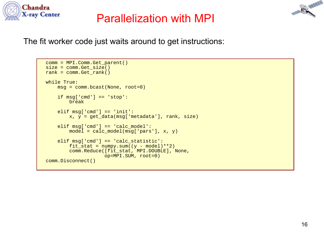

#### Parallelization with MPI

The fit worker code just waits around to get instructions:

```
 comm = MPI.Comm.Get_parent()
size = comm.Get size()rank = comm.Get\_rank() while True:
     msg = comm.bcast(None, root=0)
     if msg['cmd'] == 'stop':
         break
     elif msg['cmd'] == 'init':
        x, y = get_data(msg['metadata'], rank, size)
    elif msq['cmd'] == 'calc model':
         model = calc_model(msg['pars'], x, y)
    elif msg['cmd'] == 'calc_statistic':
        fit_stat = numpy.sum((y - model)**2) comm.Reduce([fit_stat, MPI.DOUBLE], None,
                     op=MPI.SUM, root=0)
 comm.Disconnect()
```
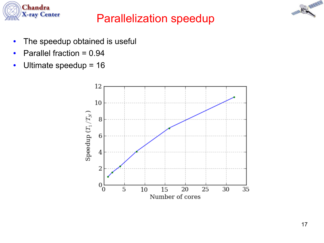

### Parallelization speedup

CANTIN

- The speedup obtained is useful
- Parallel fraction  $= 0.94$
- Ultimate speedup  $= 16$

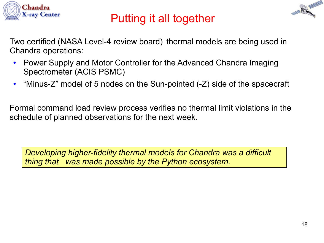

# Putting it all together



Two certified (NASA Level-4 review board) thermal models are being used in Chandra operations:

- Power Supply and Motor Controller for the Advanced Chandra Imaging Spectrometer (ACIS PSMC)
- "Minus-Z" model of 5 nodes on the Sun-pointed (-Z) side of the spacecraft

Formal command load review process verifies no thermal limit violations in the schedule of planned observations for the next week.

*Developing higher-fidelity thermal models for Chandra was a difficult thing that was made possible by the Python ecosystem.*